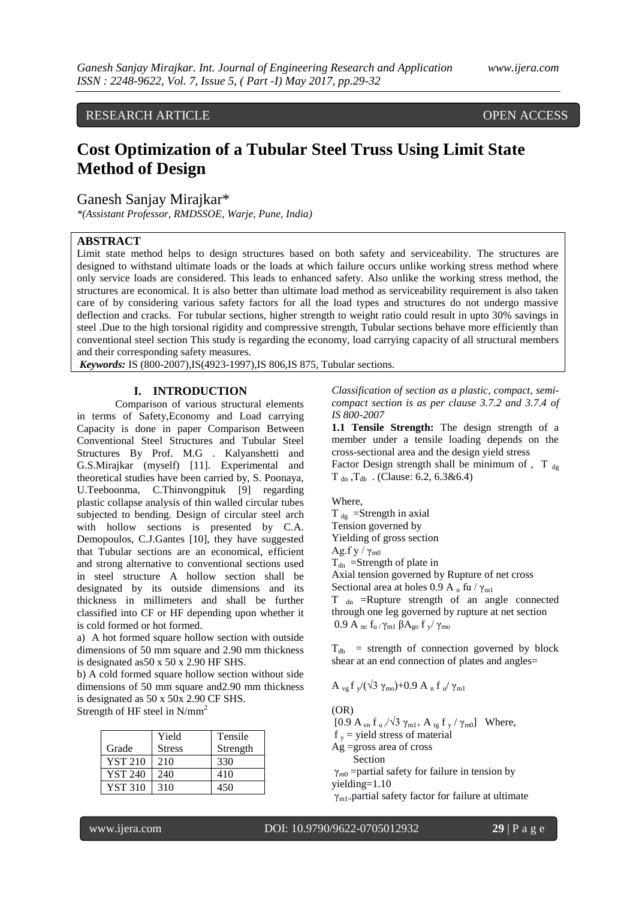RESEARCH ARTICLE OPEN ACCESS

# **Cost Optimization of a Tubular Steel Truss Using Limit State Method of Design**

Ganesh Sanjay Mirajkar\*

*\*(Assistant Professor, RMDSSOE, Warje, Pune, India)*

## **ABSTRACT**

Limit state method helps to design structures based on both safety and serviceability. The structures are designed to withstand ultimate loads or the loads at which failure occurs unlike working stress method where only service loads are considered. This leads to enhanced safety. Also unlike the working stress method, the structures are economical. It is also better than ultimate load method as serviceability requirement is also taken care of by considering various safety factors for all the load types and structures do not undergo massive deflection and cracks. For tubular sections, higher strength to weight ratio could result in upto 30% savings in steel .Due to the high torsional rigidity and compressive strength, Tubular sections behave more efficiently than conventional steel section This study is regarding the economy, load carrying capacity of all structural members and their corresponding safety measures.

*Keywords:* IS (800-2007),IS(4923-1997),IS 806,IS 875, Tubular sections.

### **I. INTRODUCTION**

Comparison of various structural elements in terms of Safety,Economy and Load carrying Capacity is done in paper Comparison Between Conventional Steel Structures and Tubular Steel Structures By Prof. M.G . Kalyanshetti and G.S.Mirajkar (myself) [11]. Experimental and theoretical studies have been carried by, S. Poonaya, U.Teeboonma, C.Thinvongpituk [9] regarding plastic collapse analysis of thin walled circular tubes subjected to bending. Design of circular steel arch with hollow sections is presented by C.A. Demopoulos, C.J.Gantes [10], they have suggested that Tubular sections are an economical, efficient and strong alternative to conventional sections used in steel structure A hollow section shall be designated by its outside dimensions and its thickness in millimeters and shall be further classified into CF or HF depending upon whether it is cold formed or hot formed.

a) A hot formed square hollow section with outside dimensions of 50 mm square and 2.90 mm thickness is designated as50 x 50 x 2.90 HF SHS.

b) A cold formed square hollow section without side dimensions of 50 mm square and2.90 mm thickness is designated as 50 x 50x 2.90 CF SHS. Strength of HF steel in  $N/mm^2$ 

|                | Yield         | Tensile  |
|----------------|---------------|----------|
| Grade          | <b>Stress</b> | Strength |
| <b>YST 210</b> | 210           | 330      |
| <b>YST 240</b> | 240           | 410      |
| <b>YST 310</b> | 310           | 450      |

*Classification of section as a plastic, compact, semicompact section is as per clause 3.7.2 and 3.7.4 of IS 800-2007*

**1.1 Tensile Strength:** The design strength of a member under a tensile loading depends on the cross-sectional area and the design yield stress Factor Design strength shall be minimum of , T  $_{\text{de}}$  $T_{dn}$ ,  $T_{db}$ . (Clause: 6.2, 6.3&6.4)

Where,  $T_{dg}$  =Strength in axial Tension governed by Yielding of gross section Ag.f y /  $\gamma_{m0}$  $T_{dn}$  =Strength of plate in Axial tension governed by Rupture of net cross Sectional area at holes 0.9 A n fu /  $\gamma_{m1}$ T <sub>dn</sub> =Rupture strength of an angle connected through one leg governed by rupture at net section 0.9 A <sub>nc</sub> f<sub>u</sub> / γ<sub>m1</sub> βA<sub>go</sub> f <sub>y</sub>/ γ<sub>mo</sub>

 $T_{db}$  = strength of connection governed by block shear at an end connection of plates and angles=

$$
A_{vg}f_y/(\sqrt{3}\,\gamma_{mo})+0.9\;A_n\;f_u/\,\gamma_{m1}
$$

(OR)

[0.9 A<sub>vn</sub> f<sub>u</sub>  $/\sqrt{3} \gamma_{m1+}$  A<sub>tg</sub> f<sub>y</sub>  $/\gamma_{m0}$ ] Where,

 $f_y$  = yield stress of material

Ag =gross area of cross Section

 $\gamma_{m0}$  =partial safety for failure in tension by yielding=1.10

 $\gamma_{\rm ml}$ =partial safety factor for failure at ultimate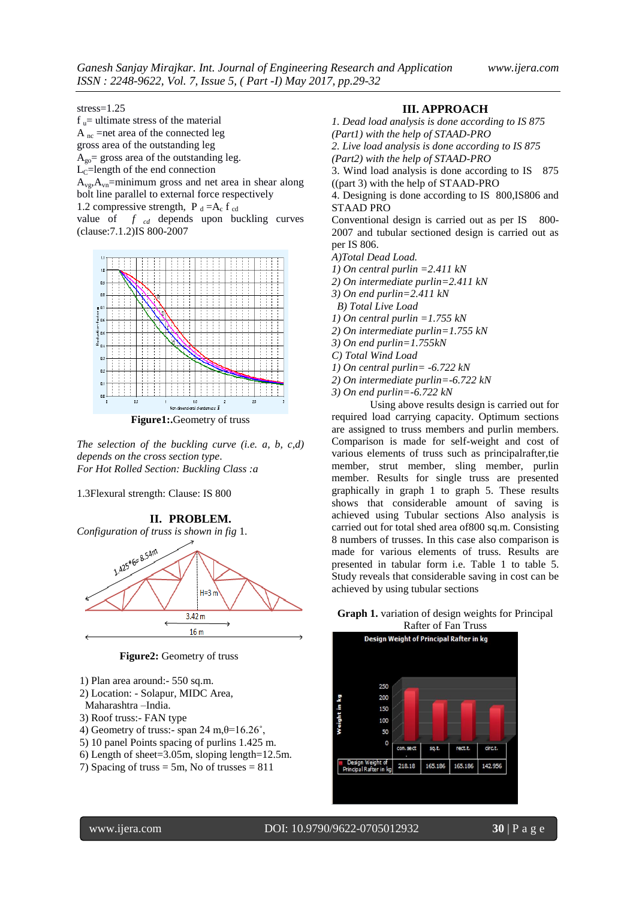stress=1.25

 $f<sub>u</sub>$  = ultimate stress of the material  $A_{nc}$  =net area of the connected leg gross area of the outstanding leg  $A_{\text{go}}$  gross area of the outstanding leg.  $L<sub>C</sub>=length of the end connection$  $A_{\rm vo}, A_{\rm vo}$ =minimum gross and net area in shear along bolt line parallel to external force respectively 1.2 compressive strength,  $P_d = A_c f_{cd}$ 

value of *f cd* depends upon buckling curves (clause:7.1.2)IS 800-2007



**Figure1:.**Geometry of truss

*The selection of the buckling curve (i.e. a, b, c,d) depends on the cross section type*. *For Hot Rolled Section: Buckling Class :a*

1.3Flexural strength: Clause: IS 800

**II. PROBLEM.** *Configuration of truss is shown in fig* 1.  $1.425*6=8.54m$  $H=3n$  $3.42 m$  $16<sub>m</sub>$ 

**Figure2:** Geometry of truss

- 1) Plan area around:- 550 sq.m.
- 2) Location: Solapur, MIDC Area,
- Maharashtra –India.
- 3) Roof truss:- FAN type
- 4) Geometry of truss:- span 24 m, $\theta$ =16.26°,
- 5) 10 panel Points spacing of purlins 1.425 m.
- 6) Length of sheet=3.05m, sloping length=12.5m.
- 7) Spacing of truss  $= 5m$ , No of trusses  $= 811$

#### **III. APPROACH**

*1. Dead load analysis is done according to IS 875 (Part1) with the help of STAAD-PRO*

*2. Live load analysis is done according to IS 875*

*(Part2) with the help of STAAD-PRO*

3. Wind load analysis is done according to IS 875 ((part 3) with the help of STAAD-PRO

4. Designing is done according to IS 800,IS806 and STAAD PRO

Conventional design is carried out as per IS 800-2007 and tubular sectioned design is carried out as per IS 806.

*A)Total Dead Load.*

- *1) On central purlin =2.411 kN*
- *2) On intermediate purlin=2.411 kN*
- *3) On end purlin=2.411 kN*

 *B) Total Live Load*

*1) On central purlin =1.755 kN*

*2) On intermediate purlin=1.755 kN*

*3) On end purlin=1.755kN*

*C) Total Wind Load*

*1) On central purlin= -6.722 kN*

- *2) On intermediate purlin=-6.722 kN*
- *3) On end purlin=-6.722 kN*

Using above results design is carried out for required load carrying capacity. Optimum sections are assigned to truss members and purlin members. Comparison is made for self-weight and cost of various elements of truss such as principalrafter,tie member, strut member, sling member, purlin member. Results for single truss are presented graphically in graph 1 to graph 5. These results shows that considerable amount of saving is achieved using Tubular sections Also analysis is carried out for total shed area of800 sq.m. Consisting 8 numbers of trusses. In this case also comparison is made for various elements of truss. Results are presented in tabular form i.e. Table 1 to table 5. Study reveals that considerable saving in cost can be achieved by using tubular sections

**Graph 1.** variation of design weights for Principal

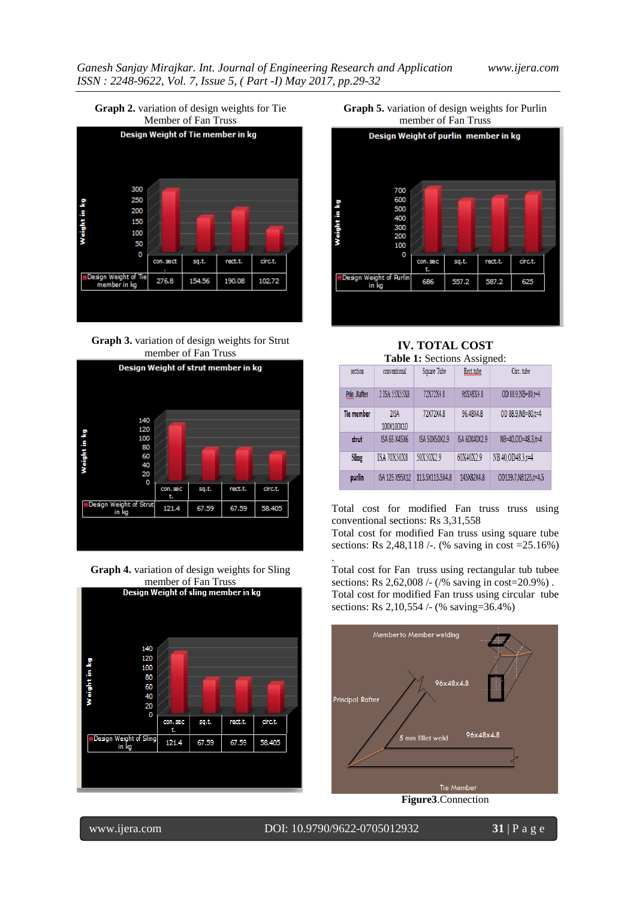

**Graph 3.** variation of design weights for Strut member of Fan Truss



**Graph 4.** variation of design weights for Sling



**Graph 5.** variation of design weights for Purlin member of Fan Truss



**IV. TOTAL COST Table 1:** Sections Assigned:

| <b>rable 1.</b> Sections Assigned. |                     |                 |               |                     |  |
|------------------------------------|---------------------|-----------------|---------------|---------------------|--|
| section                            | conventional        | Square Tube     | Rect.tube     | Circ. tube          |  |
| Prin .Rafter                       | 2 ISA 55X55X8       | 72X72X4.8       | 96X48X4.8     | OD 88.9.NB=80.t=4   |  |
| <b>Tie member</b>                  | 2ISA<br>100X100X10  | 72X72X4.8       | 96.48X4.8     | OD 88.9.NB=80.t=4   |  |
| strut                              | <b>ISA 65 X45X6</b> | ISA 50X50X2.9   | ISA 60X40X2.9 | NB=40.OD=48.3.t=4   |  |
| Sling                              | <b>ISA 70X50X8</b>  | 50X50X2.9       | 60X40X2.9     | NB 40.0D48.3.t=4    |  |
| purlin                             | ISA 125 X95X12      | 113.5X113.5X4.8 | 145X82X4.8    | OD139.7.NB125.t=4.5 |  |

Total cost for modified Fan truss truss using conventional sections: Rs 3,31,558

Total cost for modified Fan truss using square tube sections: Rs 2,48,118 /-. (% saving in cost =25.16%)

Total cost for Fan truss using rectangular tub tubee sections: Rs 2,62,008 /- (/% saving in cost=20.9%) . Total cost for modified Fan truss using circular tube sections: Rs 2,10,554 /- (% saving=36.4%)



www.ijera.com DOI: 10.9790/9622-0705012932 **31** | P a g e

.